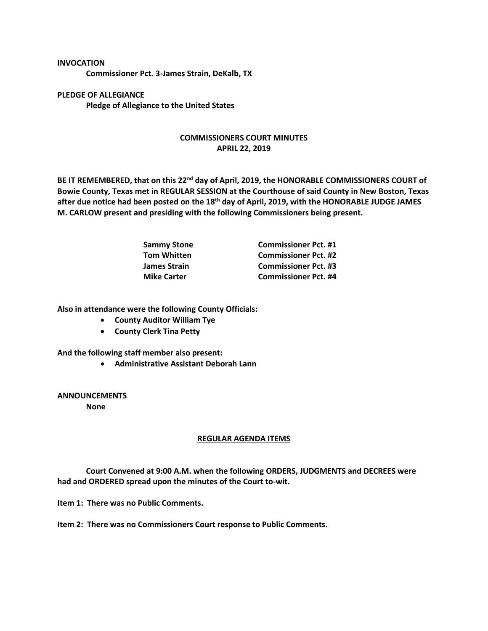## **INVOCATION**

**Commissioner Pct. 3-James Strain, DeKalb, TX**

**PLEDGE OF ALLEGIANCE Pledge of Allegiance to the United States**

## **COMMISSIONERS COURT MINUTES APRIL 22, 2019**

**BE IT REMEMBERED, that on this 22nd day of April, 2019, the HONORABLE COMMISSIONERS COURT of Bowie County, Texas met in REGULAR SESSION at the Courthouse of said County in New Boston, Texas after due notice had been posted on the 18th day of April, 2019, with the HONORABLE JUDGE JAMES M. CARLOW present and presiding with the following Commissioners being present.**

| <b>Sammy Stone</b>  | <b>Commissioner Pct. #1</b> |
|---------------------|-----------------------------|
| <b>Tom Whitten</b>  | <b>Commissioner Pct. #2</b> |
| <b>James Strain</b> | <b>Commissioner Pct. #3</b> |
| <b>Mike Carter</b>  | <b>Commissioner Pct. #4</b> |

**Also in attendance were the following County Officials:**

- **County Auditor William Tye**
- **County Clerk Tina Petty**

**And the following staff member also present:**

• **Administrative Assistant Deborah Lann**

**ANNOUNCEMENTS None**

## **REGULAR AGENDA ITEMS**

**Court Convened at 9:00 A.M. when the following ORDERS, JUDGMENTS and DECREES were had and ORDERED spread upon the minutes of the Court to-wit.**

**Item 1: There was no Public Comments.**

**Item 2: There was no Commissioners Court response to Public Comments.**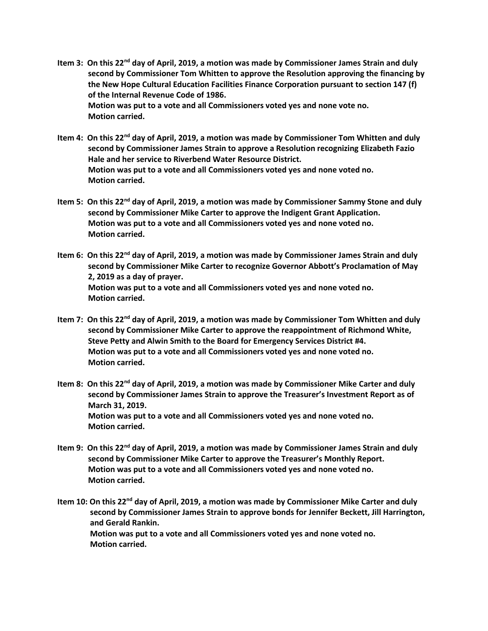- **Item 3: On this 22nd day of April, 2019, a motion was made by Commissioner James Strain and duly second by Commissioner Tom Whitten to approve the Resolution approving the financing by the New Hope Cultural Education Facilities Finance Corporation pursuant to section 147 (f) of the Internal Revenue Code of 1986. Motion was put to a vote and all Commissioners voted yes and none vote no. Motion carried.**
- **Item 4: On this 22nd day of April, 2019, a motion was made by Commissioner Tom Whitten and duly second by Commissioner James Strain to approve a Resolution recognizing Elizabeth Fazio Hale and her service to Riverbend Water Resource District. Motion was put to a vote and all Commissioners voted yes and none voted no. Motion carried.**
- **Item 5: On this 22nd day of April, 2019, a motion was made by Commissioner Sammy Stone and duly second by Commissioner Mike Carter to approve the Indigent Grant Application. Motion was put to a vote and all Commissioners voted yes and none voted no. Motion carried.**
- **Item 6: On this 22nd day of April, 2019, a motion was made by Commissioner James Strain and duly second by Commissioner Mike Carter to recognize Governor Abbott's Proclamation of May 2, 2019 as a day of prayer. Motion was put to a vote and all Commissioners voted yes and none voted no. Motion carried.**
- **Item 7: On this 22nd day of April, 2019, a motion was made by Commissioner Tom Whitten and duly second by Commissioner Mike Carter to approve the reappointment of Richmond White, Steve Petty and Alwin Smith to the Board for Emergency Services District #4. Motion was put to a vote and all Commissioners voted yes and none voted no. Motion carried.**
- **Item 8: On this 22nd day of April, 2019, a motion was made by Commissioner Mike Carter and duly second by Commissioner James Strain to approve the Treasurer's Investment Report as of March 31, 2019. Motion was put to a vote and all Commissioners voted yes and none voted no. Motion carried.**
- **Item 9: On this 22nd day of April, 2019, a motion was made by Commissioner James Strain and duly second by Commissioner Mike Carter to approve the Treasurer's Monthly Report. Motion was put to a vote and all Commissioners voted yes and none voted no. Motion carried.**
- **Item 10: On this 22nd day of April, 2019, a motion was made by Commissioner Mike Carter and duly second by Commissioner James Strain to approve bonds for Jennifer Beckett, Jill Harrington, and Gerald Rankin. Motion was put to a vote and all Commissioners voted yes and none voted no. Motion carried.**